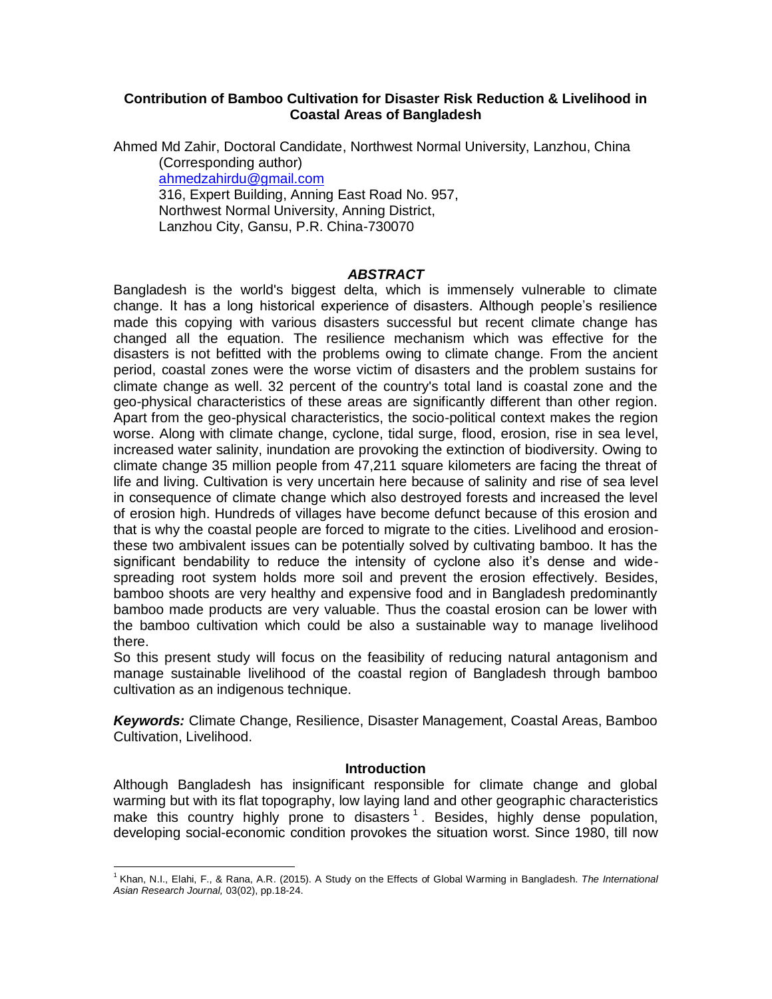### **Contribution of Bamboo Cultivation for Disaster Risk Reduction & Livelihood in Coastal Areas of Bangladesh**

Ahmed Md Zahir, Doctoral Candidate, Northwest Normal University, Lanzhou, China (Corresponding author) [ahmedzahirdu@gmail.com](mailto:ahmedzahirdu@gmail.com) 316, Expert Building, Anning East Road No. 957, Northwest Normal University, Anning District,

Lanzhou City, Gansu, P.R. China-730070

### *ABSTRACT*

Bangladesh is the world's biggest delta, which is immensely vulnerable to climate change. It has a long historical experience of disasters. Although people's resilience made this copying with various disasters successful but recent climate change has changed all the equation. The resilience mechanism which was effective for the disasters is not befitted with the problems owing to climate change. From the ancient period, coastal zones were the worse victim of disasters and the problem sustains for climate change as well. 32 percent of the country's total land is coastal zone and the geo-physical characteristics of these areas are significantly different than other region. Apart from the geo-physical characteristics, the socio-political context makes the region worse. Along with climate change, cyclone, tidal surge, flood, erosion, rise in sea level, increased water salinity, inundation are provoking the extinction of biodiversity. Owing to climate change 35 million people from 47,211 square kilometers are facing the threat of life and living. Cultivation is very uncertain here because of salinity and rise of sea level in consequence of climate change which also destroyed forests and increased the level of erosion high. Hundreds of villages have become defunct because of this erosion and that is why the coastal people are forced to migrate to the cities. Livelihood and erosionthese two ambivalent issues can be potentially solved by cultivating bamboo. It has the significant bendability to reduce the intensity of cyclone also it's dense and widespreading root system holds more soil and prevent the erosion effectively. Besides, bamboo shoots are very healthy and expensive food and in Bangladesh predominantly bamboo made products are very valuable. Thus the coastal erosion can be lower with the bamboo cultivation which could be also a sustainable way to manage livelihood there.

So this present study will focus on the feasibility of reducing natural antagonism and manage sustainable livelihood of the coastal region of Bangladesh through bamboo cultivation as an indigenous technique.

*Keywords:* Climate Change, Resilience, Disaster Management, Coastal Areas, Bamboo Cultivation, Livelihood.

### **Introduction**

Although Bangladesh has insignificant responsible for climate change and global warming but with its flat topography, low laying land and other geographic characteristics make this country highly prone to disasters  $1$ . Besides, highly dense population, developing social-economic condition provokes the situation worst. Since 1980, till now

 $\overline{\phantom{a}}$ 1 Khan, N.I., Elahi, F., & Rana, A.R. (2015). A Study on the Effects of Global Warming in Bangladesh. *The International Asian Research Journal,* 03(02), pp.18-24.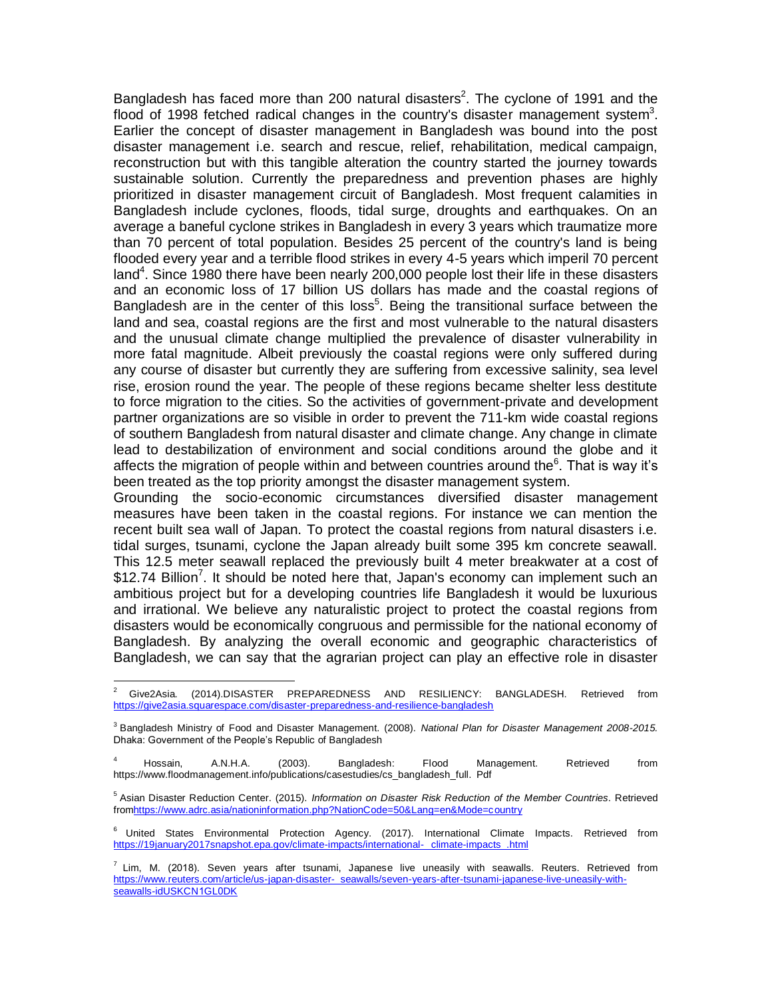Bangladesh has faced more than 200 natural disasters<sup>2</sup>. The cyclone of 1991 and the flood of 1998 fetched radical changes in the country's disaster management system<sup>3</sup>. Earlier the concept of disaster management in Bangladesh was bound into the post disaster management i.e. search and rescue, relief, rehabilitation, medical campaign, reconstruction but with this tangible alteration the country started the journey towards sustainable solution. Currently the preparedness and prevention phases are highly prioritized in disaster management circuit of Bangladesh. Most frequent calamities in Bangladesh include cyclones, floods, tidal surge, droughts and earthquakes. On an average a baneful cyclone strikes in Bangladesh in every 3 years which traumatize more than 70 percent of total population. Besides 25 percent of the country's land is being flooded every year and a terrible flood strikes in every 4-5 years which imperil 70 percent land<sup>4</sup>. Since 1980 there have been nearly 200,000 people lost their life in these disasters and an economic loss of 17 billion US dollars has made and the coastal regions of Bangladesh are in the center of this loss<sup>5</sup>. Being the transitional surface between the land and sea, coastal regions are the first and most vulnerable to the natural disasters and the unusual climate change multiplied the prevalence of disaster vulnerability in more fatal magnitude. Albeit previously the coastal regions were only suffered during any course of disaster but currently they are suffering from excessive salinity, sea level rise, erosion round the year. The people of these regions became shelter less destitute to force migration to the cities. So the activities of government-private and development partner organizations are so visible in order to prevent the 711-km wide coastal regions of southern Bangladesh from natural disaster and climate change. Any change in climate lead to destabilization of environment and social conditions around the globe and it affects the migration of people within and between countries around the $6$ . That is way it's been treated as the top priority amongst the disaster management system.

Grounding the socio-economic circumstances diversified disaster management measures have been taken in the coastal regions. For instance we can mention the recent built sea wall of Japan. To protect the coastal regions from natural disasters i.e. tidal surges, tsunami, cyclone the Japan already built some 395 km concrete seawall. This 12.5 meter seawall replaced the previously built 4 meter breakwater at a cost of \$12.74 Billion<sup>7</sup>. It should be noted here that, Japan's economy can implement such an ambitious project but for a developing countries life Bangladesh it would be luxurious and irrational. We believe any naturalistic project to protect the coastal regions from disasters would be economically congruous and permissible for the national economy of Bangladesh. By analyzing the overall economic and geographic characteristics of Bangladesh, we can say that the agrarian project can play an effective role in disaster

 $\overline{a}$ <sup>2</sup> Give2Asia. (2014).DISASTER PREPAREDNESS AND RESILIENCY: BANGLADESH. Retrieved from <https://give2asia.squarespace.com/disaster-preparedness-and-resilience-bangladesh>

<sup>3</sup> Bangladesh Ministry of Food and Disaster Management. (2008). *National Plan for Disaster Management 2008-2015.* Dhaka: Government of the People's Republic of Bangladesh

<sup>4</sup> Hossain, A.N.H.A. (2003). Bangladesh: Flood Management. Retrieved from https://www.floodmanagement.info/publications/casestudies/cs\_bangladesh\_full. Pdf

<sup>5</sup> Asian Disaster Reduction Center. (2015). *Information on Disaster Risk Reduction of the Member Countries*. Retrieved fro[mhttps://www.adrc.asia/nationinformation.php?NationCode=50&Lang=en&Mode=country](https://www.adrc.asia/nationinformation.php?NationCode=50&Lang=en&Mode=country)

<sup>6</sup> United States Environmental Protection Agency. (2017). International Climate Impacts. Retrieved from [https://19january2017snapshot.epa.gov/climate-impacts/international-](https://19january2017snapshot.epa.gov/climate-impacts/international-climate-impacts_.html) climate-impacts\_.html

 $^7$  Lim, M. (2018). Seven years after tsunami, Japanese live uneasily with seawalls. Reuters. Retrieved from https://www.reuters.com/article/us-japan-disaster- [seawalls/seven-years-after-tsunami-japanese-live-uneasily-with](https://www.reuters.com/article/us-japan-disaster-seawalls/seven-years-after-tsunami-japanese-live-uneasily-with-seawalls-idUSKCN1GL0DK)[seawalls-idUSKCN1GL0DK](https://www.reuters.com/article/us-japan-disaster-seawalls/seven-years-after-tsunami-japanese-live-uneasily-with-seawalls-idUSKCN1GL0DK)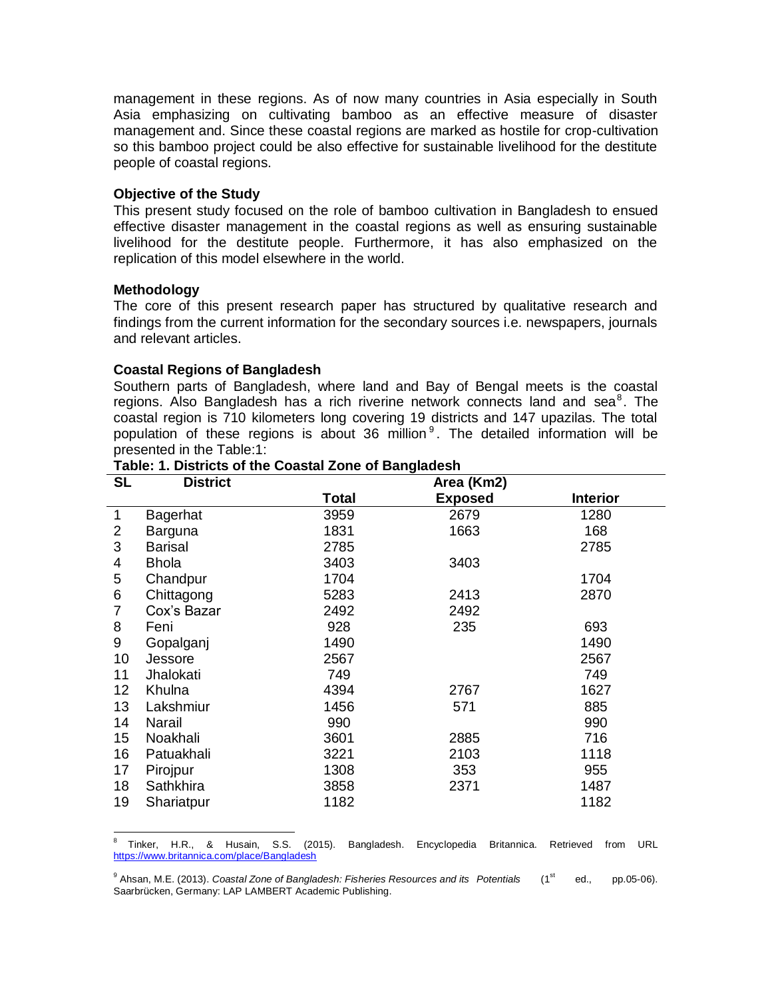management in these regions. As of now many countries in Asia especially in South Asia emphasizing on cultivating bamboo as an effective measure of disaster management and. Since these coastal regions are marked as hostile for crop-cultivation so this bamboo project could be also effective for sustainable livelihood for the destitute people of coastal regions.

### **Objective of the Study**

This present study focused on the role of bamboo cultivation in Bangladesh to ensued effective disaster management in the coastal regions as well as ensuring sustainable livelihood for the destitute people. Furthermore, it has also emphasized on the replication of this model elsewhere in the world.

### **Methodology**

l

The core of this present research paper has structured by qualitative research and findings from the current information for the secondary sources i.e. newspapers, journals and relevant articles.

### **Coastal Regions of Bangladesh**

Southern parts of Bangladesh, where land and Bay of Bengal meets is the coastal regions. Also Bangladesh has a rich riverine network connects land and sea $^8$ . The coastal region is 710 kilometers long covering 19 districts and 147 upazilas. The total population of these regions is about 36 million  $9$ . The detailed information will be presented in the Table:1:

| SL              | <b>District</b> |              | Area (Km2)     |                 |
|-----------------|-----------------|--------------|----------------|-----------------|
|                 |                 | <b>Total</b> | <b>Exposed</b> | <b>Interior</b> |
| 1               | Bagerhat        | 3959         | 2679           | 1280            |
| 2               | Barguna         | 1831         | 1663           | 168             |
| 3               | Barisal         | 2785         |                | 2785            |
| 4               | Bhola           | 3403         | 3403           |                 |
| 5               | Chandpur        | 1704         |                | 1704            |
| 6               | Chittagong      | 5283         | 2413           | 2870            |
| 7               | Cox's Bazar     | 2492         | 2492           |                 |
| 8               | Feni            | 928          | 235            | 693             |
| 9               | Gopalganj       | 1490         |                | 1490            |
| 10              | Jessore         | 2567         |                | 2567            |
| 11              | Jhalokati       | 749          |                | 749             |
| 12 <sub>2</sub> | Khulna          | 4394         | 2767           | 1627            |
| 13              | Lakshmiur       | 1456         | 571            | 885             |
| 14              | Narail          | 990          |                | 990             |
| 15              | Noakhali        | 3601         | 2885           | 716             |
| 16              | Patuakhali      | 3221         | 2103           | 1118            |
| 17              | Pirojpur        | 1308         | 353            | 955             |
| 18              | Sathkhira       | 3858         | 2371           | 1487            |
| 19              | Shariatpur      | 1182         |                | 1182            |

### **Table: 1. Districts of the Coastal Zone of Bangladesh**

<sup>8</sup> Tinker, H.R., & Husain, S.S. (2015). Bangladesh. Encyclopedia Britannica. Retrieved from URL <https://www.britannica.com/place/Bangladesh>

<sup>&</sup>lt;sup>9</sup> Ahsan, M.E. (2013). *Coastal Zone of Bangladesh: Fisheries Resources and its Potentials* (1<sup>st</sup> ed., pp.05-06). Saarbrücken, Germany: LAP LAMBERT Academic Publishing.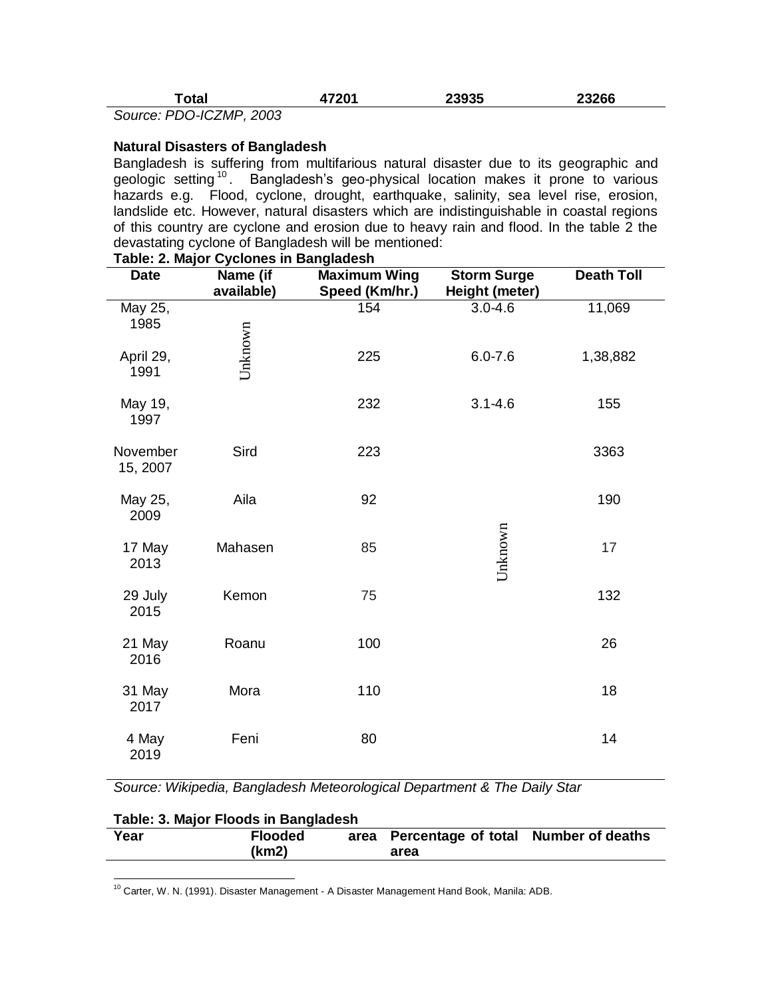| otal.                                                       | 7201 | 23935 | 3266 |
|-------------------------------------------------------------|------|-------|------|
| $R_{\rm A}$ $R_{\rm A}$ $R_{\rm A}$ $R_{\rm A}$ $R_{\rm A}$ |      |       |      |

*Source: PDO-ICZMP, 2003*

### **Natural Disasters of Bangladesh**

Bangladesh is suffering from multifarious natural disaster due to its geographic and geologic setting<sup>10</sup>. Bangladesh's geo-physical location makes it prone to various hazards e.g. Flood, cyclone, drought, earthquake, salinity, sea level rise, erosion, landslide etc. However, natural disasters which are indistinguishable in coastal regions of this country are cyclone and erosion due to heavy rain and flood. In the table 2 the devastating cyclone of Bangladesh will be mentioned:

| <b>Date</b>                                                                                             | Name (if<br>available)  | <b>Maximum Wing</b><br>Speed (Km/hr.) | <b>Storm Surge</b><br>Height (meter) | <b>Death Toll</b>       |  |  |  |
|---------------------------------------------------------------------------------------------------------|-------------------------|---------------------------------------|--------------------------------------|-------------------------|--|--|--|
| May 25,<br>1985                                                                                         |                         | 154                                   | $3.0 - 4.6$                          | 11,069                  |  |  |  |
| April 29,<br>1991                                                                                       | Unknown                 | 225                                   | $6.0 - 7.6$                          | 1,38,882                |  |  |  |
| May 19,<br>1997                                                                                         |                         | 232                                   | $3.1 - 4.6$                          | 155                     |  |  |  |
| November<br>15, 2007                                                                                    | Sird                    | 223                                   |                                      | 3363                    |  |  |  |
| May 25,<br>2009                                                                                         | Aila                    | 92                                    |                                      | 190                     |  |  |  |
| 17 May<br>2013                                                                                          | Mahasen                 | 85                                    | Unknown                              | 17                      |  |  |  |
| 29 July<br>2015                                                                                         | Kemon                   | 75                                    |                                      | 132                     |  |  |  |
| 21 May<br>2016                                                                                          | Roanu                   | 100                                   |                                      | 26                      |  |  |  |
| 31 May<br>2017                                                                                          | Mora                    | 110                                   |                                      | 18                      |  |  |  |
| 4 May<br>2019                                                                                           | Feni                    | 80                                    |                                      | 14                      |  |  |  |
| Source: Wikipedia, Bangladesh Meteorological Department & The Daily Star                                |                         |                                       |                                      |                         |  |  |  |
| Table: 3. Major Floods in Bangladesh                                                                    |                         |                                       |                                      |                         |  |  |  |
| Year                                                                                                    | <b>Flooded</b><br>(km2) | area<br>area                          | Percentage of total                  | <b>Number of deaths</b> |  |  |  |
|                                                                                                         |                         |                                       |                                      |                         |  |  |  |
| <sup>10</sup> Carter, W. N. (1991). Disaster Management - A Disaster Management Hand Book, Manila: ADB. |                         |                                       |                                      |                         |  |  |  |

# **Table: 2. Major Cyclones in Bangladesh**

| Table: 3. Major Floods in Bangladesh |                |  |                                           |  |  |  |
|--------------------------------------|----------------|--|-------------------------------------------|--|--|--|
| Year                                 | <b>Flooded</b> |  | area Percentage of total Number of deaths |  |  |  |
|                                      | (km2)          |  | area                                      |  |  |  |

<sup>10</sup> Carter, W. N. (1991). Disaster Management - A Disaster Management Hand Book, Manila: ADB.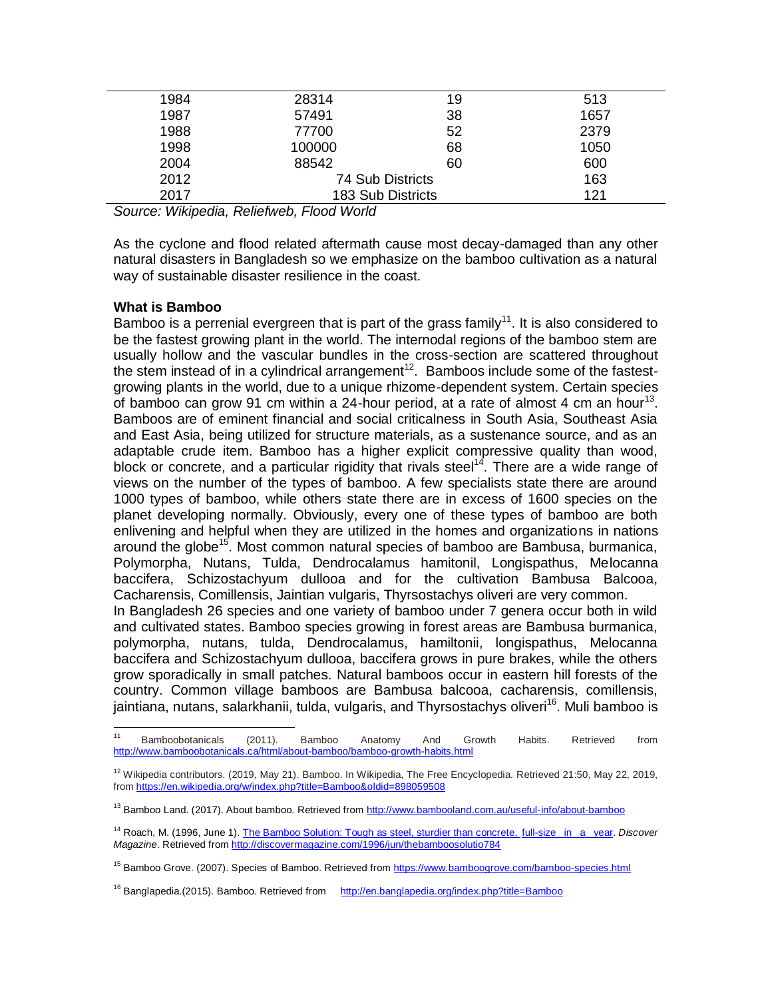| 1984 | 28314             | 19 | 513  |
|------|-------------------|----|------|
| 1987 | 57491             | 38 | 1657 |
| 1988 | 77700             | 52 | 2379 |
| 1998 | 100000            | 68 | 1050 |
| 2004 | 88542             | 60 | 600  |
| 2012 | 74 Sub Districts  |    | 163  |
| 2017 | 183 Sub Districts |    | 121  |

*Source: Wikipedia, Reliefweb, Flood World* 

As the cyclone and flood related aftermath cause most decay-damaged than any other natural disasters in Bangladesh so we emphasize on the bamboo cultivation as a natural way of sustainable disaster resilience in the coast.

## **What is Bamboo**

l

Bamboo is a perrenial evergreen that is part of the grass family<sup>11</sup>. It is also considered to be the fastest growing plant in the world. The internodal regions of the bamboo stem are usually hollow and the vascular bundles in the cross-section are scattered throughout the stem instead of in a cylindrical arrangement<sup>12</sup>. Bamboos include some of the fastestgrowing plants in the world, due to a unique rhizome-dependent system. Certain species of bamboo can grow 91 cm within a 24-hour period, at a rate of almost 4 cm an hour<sup>13</sup>. Bamboos are of eminent financial and social criticalness in South Asia, Southeast Asia and East Asia, being utilized for structure materials, as a sustenance source, and as an adaptable crude item. Bamboo has a higher explicit compressive quality than wood, block or concrete, and a particular rigidity that rivals steel<sup>14</sup>. There are a wide range of views on the number of the types of bamboo. A few specialists state there are around 1000 types of bamboo, while others state there are in excess of 1600 species on the planet developing normally. Obviously, every one of these types of bamboo are both enlivening and helpful when they are utilized in the homes and organizations in nations around the globe<sup>15</sup>. Most common natural species of bamboo are Bambusa, burmanica, Polymorpha, Nutans, Tulda, Dendrocalamus hamitonil, Longispathus, Melocanna baccifera, Schizostachyum dullooa and for the cultivation Bambusa Balcooa, Cacharensis, Comillensis, Jaintian vulgaris, Thyrsostachys oliveri are very common. In Bangladesh 26 species and one variety of bamboo under 7 genera occur both in wild and cultivated states. Bamboo species growing in forest areas are Bambusa burmanica, polymorpha, nutans, tulda, Dendrocalamus, hamiltonii, longispathus, Melocanna

baccifera and Schizostachyum dullooa, baccifera grows in pure brakes, while the others grow sporadically in small patches. Natural bamboos occur in eastern hill forests of the country. Common village bamboos are Bambusa balcooa, cacharensis, comillensis, jaintiana, nutans, salarkhanii, tulda, vulgaris, and Thyrsostachys oliveri<sup>16</sup>. Muli bamboo is

<sup>&</sup>lt;sup>11</sup> Bamboobotanicals (2011). Bamboo Anatomy And Growth Habits. Retrieved from <http://www.bamboobotanicals.ca/html/about-bamboo/bamboo-growth-habits.html>

<sup>&</sup>lt;sup>12</sup> Wikipedia contributors. (2019, May 21). Bamboo. In Wikipedia, The Free Encyclopedia. Retrieved 21:50, May 22, 2019, from<https://en.wikipedia.org/w/index.php?title=Bamboo&oldid=898059508>

<sup>&</sup>lt;sup>13</sup> Bamboo Land. (2017). About bamboo. Retrieved from<http://www.bambooland.com.au/useful-info/about-bamboo>

<sup>14</sup> Roach, M. (1996, June 1)[. The Bamboo Solution: Tough as steel, sturdier than concrete, full-size in a year.](http://discovermagazine.com/1996/jun/thebamboosolutio784) *Discover Magazine*. Retrieved from<http://discovermagazine.com/1996/jun/thebamboosolutio784>

<sup>&</sup>lt;sup>15</sup> Bamboo Grove. (2007). Species of Bamboo. Retrieved from<https://www.bamboogrove.com/bamboo-species.html>

<sup>&</sup>lt;sup>16</sup> Banglapedia.(2015). Bamboo. Retrieved from <http://en.banglapedia.org/index.php?title=Bamboo>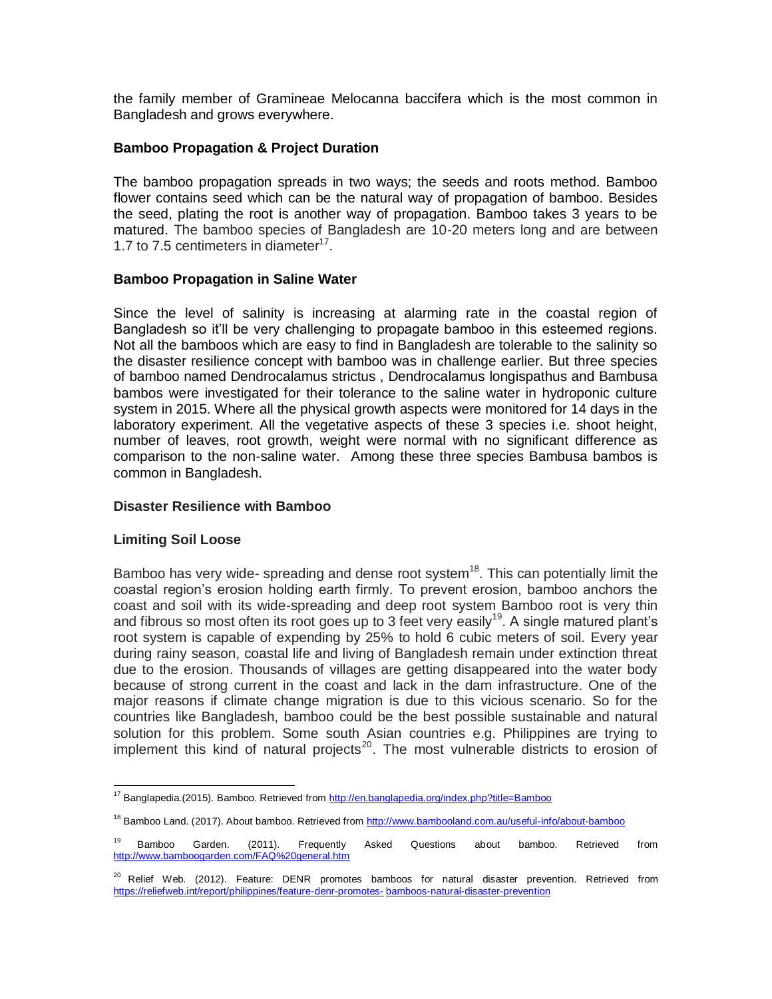the family member of Gramineae Melocanna baccifera which is the most common in Bangladesh and grows everywhere.

### **Bamboo Propagation & Project Duration**

The bamboo propagation spreads in two ways; the seeds and roots method. Bamboo flower contains seed which can be the natural way of propagation of bamboo. Besides the seed, plating the root is another way of propagation. Bamboo takes 3 years to be matured. The bamboo species of Bangladesh are 10-20 meters long and are between 1.7 to 7.5 centimeters in diameter $^{17}$ .

### **Bamboo Propagation in Saline Water**

Since the level of salinity is increasing at alarming rate in the coastal region of Bangladesh so it'll be very challenging to propagate bamboo in this esteemed regions. Not all the bamboos which are easy to find in Bangladesh are tolerable to the salinity so the disaster resilience concept with bamboo was in challenge earlier. But three species of bamboo named Dendrocalamus strictus , Dendrocalamus longispathus and Bambusa bambos were investigated for their tolerance to the saline water in hydroponic culture system in 2015. Where all the physical growth aspects were monitored for 14 days in the laboratory experiment. All the vegetative aspects of these 3 species i.e. shoot height, number of leaves, root growth, weight were normal with no significant difference as comparison to the non-saline water. Among these three species Bambusa bambos is common in Bangladesh.

### **Disaster Resilience with Bamboo**

### **Limiting Soil Loose**

 $\overline{\phantom{a}}$ 

Bamboo has very wide- spreading and dense root system<sup>18</sup>. This can potentially limit the coastal region's erosion holding earth firmly. To prevent erosion, bamboo anchors the coast and soil with its wide-spreading and deep root system Bamboo root is very thin and fibrous so most often its root goes up to 3 feet very easily<sup>19</sup>. A single matured plant's root system is capable of expending by 25% to hold 6 cubic meters of soil. Every year during rainy season, coastal life and living of Bangladesh remain under extinction threat due to the erosion. Thousands of villages are getting disappeared into the water body because of strong current in the coast and lack in the dam infrastructure. One of the major reasons if climate change migration is due to this vicious scenario. So for the countries like Bangladesh, bamboo could be the best possible sustainable and natural solution for this problem. Some south Asian countries e.g. Philippines are trying to implement this kind of natural projects<sup>20</sup>. The most vulnerable districts to erosion of

<sup>&</sup>lt;sup>17</sup> Banglapedia.(2015). Bamboo. Retrieved from<http://en.banglapedia.org/index.php?title=Bamboo>

<sup>&</sup>lt;sup>18</sup> Bamboo Land. (2017). About bamboo. Retrieved from<http://www.bambooland.com.au/useful-info/about-bamboo>

<sup>&</sup>lt;sup>19</sup> Bamboo Garden. (2011). Frequently Asked Questions about bamboo. Retrieved from <http://www.bamboogarden.com/FAQ%20general.htm>

<sup>&</sup>lt;sup>20</sup> Relief Web. (2012). Feature: DENR promotes bamboos for natural disaster prevention. Retrieved from [https://reliefweb.int/report/philippines/feature-denr-promotes-](https://reliefweb.int/report/philippines/feature-denr-promotes-%09bamboos-natural-disaster-prevention) bamboos-natural-disaster-prevention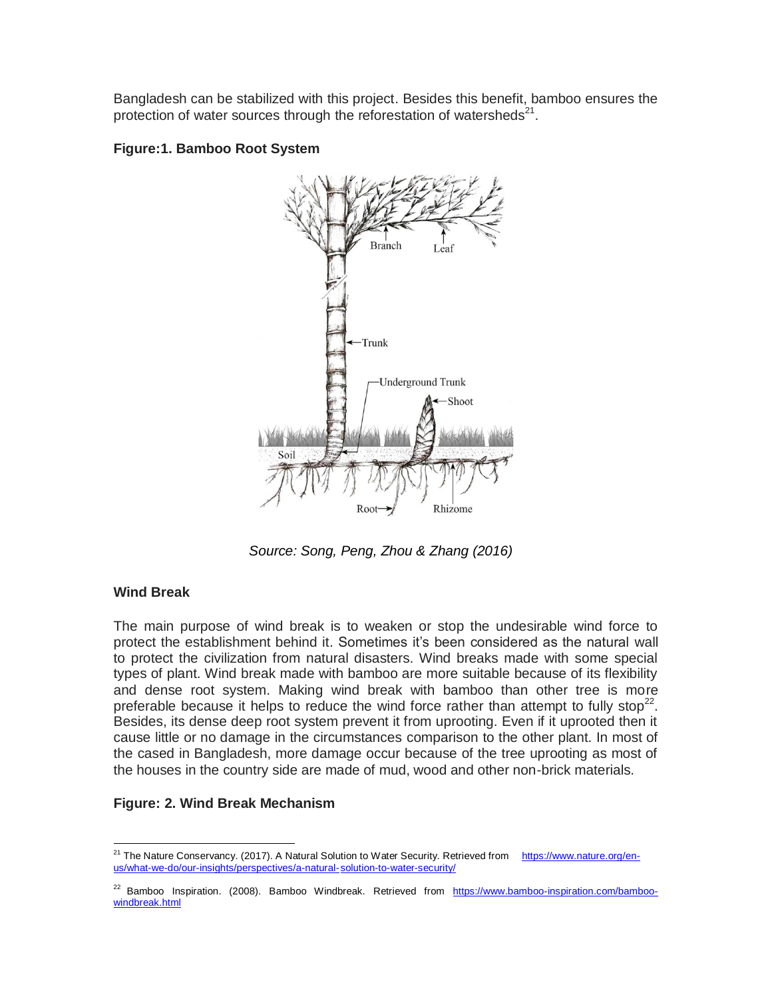Bangladesh can be stabilized with this project. Besides this benefit, bamboo ensures the protection of water sources through the reforestation of watersheds $^{21}$ .





*Source: Song, Peng, Zhou & Zhang (2016)*

## **Wind Break**

l

The main purpose of wind break is to weaken or stop the undesirable wind force to protect the establishment behind it. Sometimes it's been considered as the natural wall to protect the civilization from natural disasters. Wind breaks made with some special types of plant. Wind break made with bamboo are more suitable because of its flexibility and dense root system. Making wind break with bamboo than other tree is more preferable because it helps to reduce the wind force rather than attempt to fully stop<sup>22</sup>. Besides, its dense deep root system prevent it from uprooting. Even if it uprooted then it cause little or no damage in the circumstances comparison to the other plant. In most of the cased in Bangladesh, more damage occur because of the tree uprooting as most of the houses in the country side are made of mud, wood and other non-brick materials.

## **Figure: 2. Wind Break Mechanism**

<sup>&</sup>lt;sup>21</sup> The Nature Conservancy. (2017). A Natural Solution to Water Security. Retrieved from [https://www.nature.org/en](https://www.nature.org/en-us/what-we-do/our-insights/perspectives/a-natural-%09solution-to-water-security/)[us/what-we-do/our-insights/perspectives/a-natural-solution-to-water-security/](https://www.nature.org/en-us/what-we-do/our-insights/perspectives/a-natural-%09solution-to-water-security/)

<sup>&</sup>lt;sup>22</sup> Bamboo Inspiration. (2008). Bamboo Windbreak. Retrieved from [https://www.bamboo-inspiration.com/bamboo](https://www.bamboo-inspiration.com/bamboo-windbreak.html)[windbreak.html](https://www.bamboo-inspiration.com/bamboo-windbreak.html)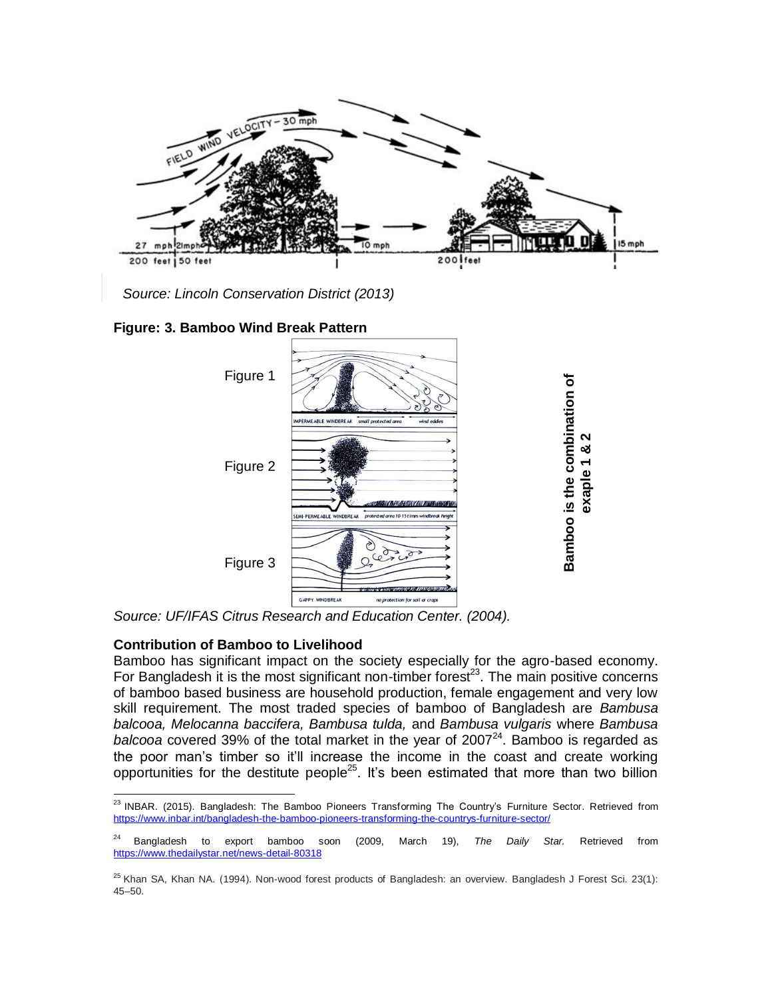

*Source: Lincoln [Conservation](https://lincolnconservationdistrict.com/) District (2013)*

**Figure: 3. Bamboo Wind Break Pattern** 



*Source: UF/IFAS Citrus Research and Education Center. (2004).*

## **Contribution of Bamboo to Livelihood**

Bamboo has significant impact on the society especially for the agro-based economy. For Bangladesh it is the most significant non-timber forest<sup>23</sup>. The main positive concerns of bamboo based business are household production, female engagement and very low skill requirement. The most traded species of bamboo of Bangladesh are *Bambusa balcooa, Melocanna baccifera, Bambusa tulda,* and *Bambusa vulgaris* where *Bambusa*  balcooa covered 39% of the total market in the year of 2007<sup>24</sup>. Bamboo is regarded as the poor man's timber so it'll increase the income in the coast and create working opportunities for the destitute people<sup>25</sup>. It's been estimated that more than two billion

l <sup>23</sup> INBAR. (2015). Bangladesh: The Bamboo Pioneers Transforming The Country's Furniture Sector. Retrieved from <https://www.inbar.int/bangladesh-the-bamboo-pioneers-transforming-the-countrys-furniture-sector/>

<sup>24</sup> Bangladesh to export bamboo soon (2009, March 19), *The Daily Star.* Retrieved from <https://www.thedailystar.net/news-detail-80318>

 $25$  Khan SA, Khan NA. (1994). Non-wood forest products of Bangladesh: an overview. Bangladesh J Forest Sci. 23(1): 45–50.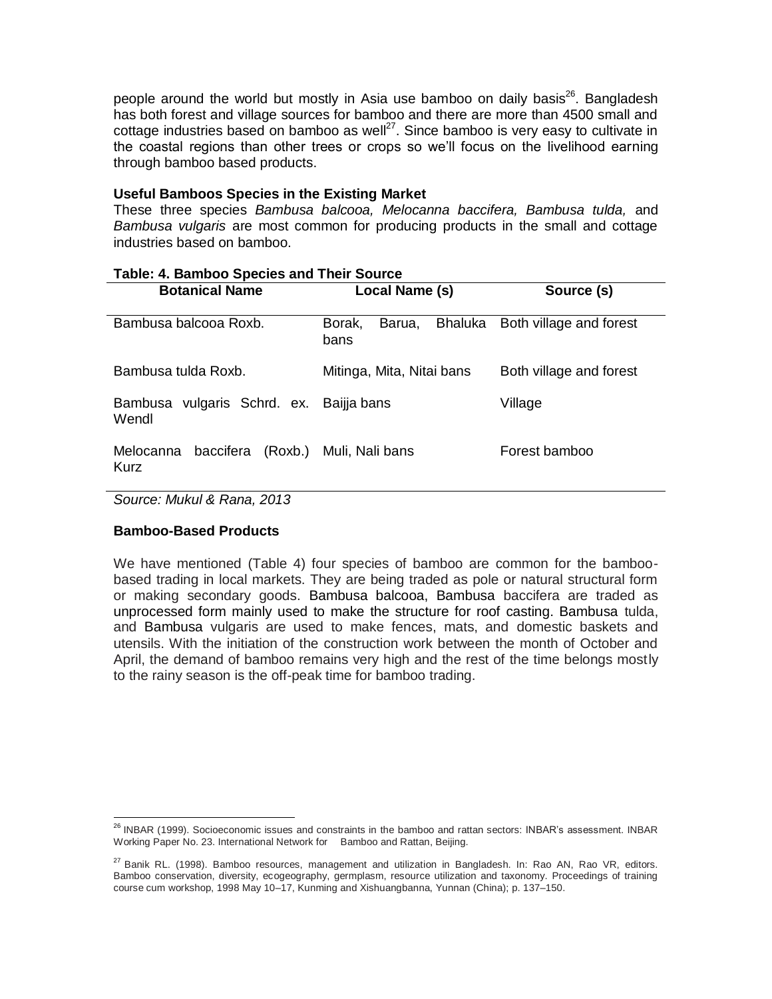people around the world but mostly in Asia use bamboo on daily basis<sup>26</sup>. Bangladesh has both forest and village sources for bamboo and there are more than 4500 small and cottage industries based on bamboo as well $^{27}$ . Since bamboo is very easy to cultivate in the coastal regions than other trees or crops so we'll focus on the livelihood earning through bamboo based products.

### **Useful Bamboos Species in the Existing Market**

These three species *Bambusa balcooa, Melocanna baccifera, Bambusa tulda,* and *Bambusa vulgaris* are most common for producing products in the small and cottage industries based on bamboo.

| <b>Botanical Name</b>                            | Local Name (s)                      | Source (s)              |  |
|--------------------------------------------------|-------------------------------------|-------------------------|--|
|                                                  |                                     |                         |  |
| Bambusa balcooa Roxb.                            | Bhaluka<br>Borak,<br>Barua,<br>bans | Both village and forest |  |
| Bambusa tulda Roxb.                              | Mitinga, Mita, Nitai bans           | Both village and forest |  |
| Bambusa vulgaris Schrd. ex. Baijja bans<br>Wendl |                                     | Village                 |  |
| baccifera<br>Melocanna<br>Kurz                   | (Roxb.) Muli, Nali bans             | Forest bamboo           |  |

### **Table: 4. Bamboo Species and Their Source**

*Source: Mukul & Rana, 2013* 

## **Bamboo-Based Products**

We have mentioned (Table 4) four species of bamboo are common for the bamboobased trading in local markets. They are being traded as pole or natural structural form or making secondary goods. Bambusa balcooa, Bambusa baccifera are traded as unprocessed form mainly used to make the structure for roof casting. Bambusa tulda, and Bambusa vulgaris are used to make fences, mats, and domestic baskets and utensils. With the initiation of the construction work between the month of October and April, the demand of bamboo remains very high and the rest of the time belongs mostly to the rainy season is the off-peak time for bamboo trading.

 $\overline{\phantom{a}}$ <sup>26</sup> INBAR (1999). Socioeconomic issues and constraints in the bamboo and rattan sectors: INBAR's assessment. INBAR Working Paper No. 23. International Network for Bamboo and Rattan, Beijing.

<sup>&</sup>lt;sup>27</sup> Banik RL. (1998). Bamboo resources, management and utilization in Bangladesh. In: Rao AN, Rao VR, editors. Bamboo conservation, diversity, ecogeography, germplasm, resource utilization and taxonomy. Proceedings of training course cum workshop, 1998 May 10–17, Kunming and Xishuangbanna, Yunnan (China); p. 137–150.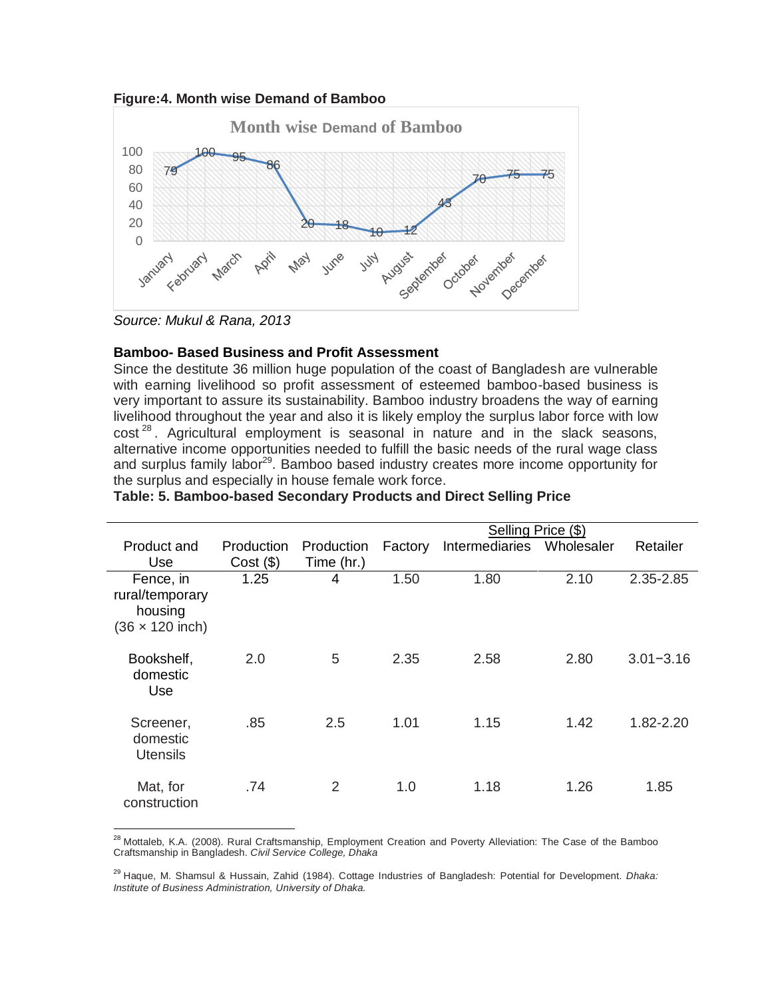



*Source: Mukul & Rana, 2013*

 $\overline{\phantom{a}}$ 

### **Bamboo- Based Business and Profit Assessment**

Since the destitute 36 million huge population of the coast of Bangladesh are vulnerable with earning livelihood so profit assessment of esteemed bamboo-based business is very important to assure its sustainability. Bamboo industry broadens the way of earning livelihood throughout the year and also it is likely employ the surplus labor force with low  $\cot^{28}$ . Agricultural employment is seasonal in nature and in the slack seasons, alternative income opportunities needed to fulfill the basic needs of the rural wage class and surplus family labor<sup>29</sup>. Bamboo based industry creates more income opportunity for the surplus and especially in house female work force.

|                                                                   |                           |                          | Selling Price (\$) |                |            |               |
|-------------------------------------------------------------------|---------------------------|--------------------------|--------------------|----------------|------------|---------------|
| Product and<br>Use.                                               | Production<br>$Cost($ \$) | Production<br>Time (hr.) | Factory            | Intermediaries | Wholesaler | Retailer      |
| Fence, in<br>rural/temporary<br>housing<br>$(36 \times 120$ inch) | 1.25                      | 4                        | 1.50               | 1.80           | 2.10       | 2.35-2.85     |
| Bookshelf,<br>domestic<br>Use                                     | 2.0                       | 5                        | 2.35               | 2.58           | 2.80       | $3.01 - 3.16$ |
| Screener,<br>domestic<br><b>Utensils</b>                          | .85                       | 2.5                      | 1.01               | 1.15           | 1.42       | 1.82-2.20     |
| Mat, for<br>construction                                          | .74                       | 2                        | 1.0                | 1.18           | 1.26       | 1.85          |

#### **Table: 5. Bamboo-based Secondary Products and Direct Selling Price**

<sup>28</sup> Mottaleb, K.A. (2008). Rural Craftsmanship, Employment Creation and Poverty Alleviation: The Case of the Bamboo Craftsmanship in Bangladesh. *Civil Service College, Dhaka*

<sup>29</sup> Haque, M. Shamsul & Hussain, Zahid (1984). Cottage Industries of Bangladesh: Potential for Development. *Dhaka: Institute of Business Administration, University of Dhaka.*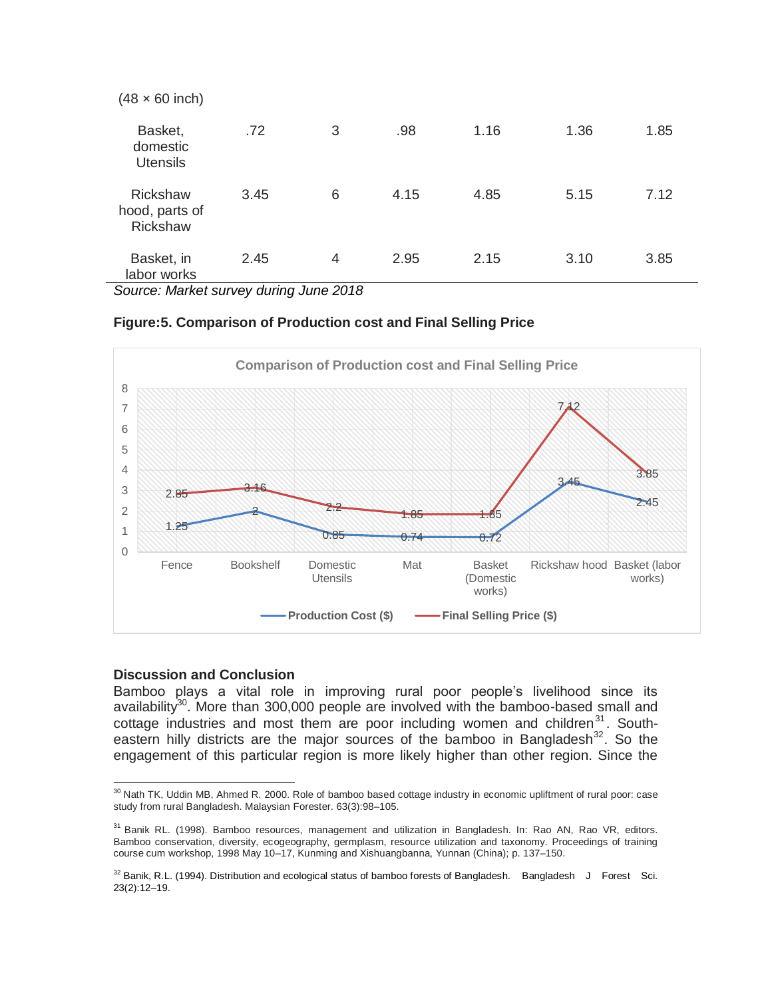| $(48 \times 60$ inch)                                |      |   |      |      |      |      |
|------------------------------------------------------|------|---|------|------|------|------|
| Basket,<br>domestic<br><b>Utensils</b>               | .72  | 3 | .98  | 1.16 | 1.36 | 1.85 |
| <b>Rickshaw</b><br>hood, parts of<br><b>Rickshaw</b> | 3.45 | 6 | 4.15 | 4.85 | 5.15 | 7.12 |
| Basket, in<br>labor works                            | 2.45 | 4 | 2.95 | 2.15 | 3.10 | 3.85 |

*Source: Market survey during June 2018*

### **Figure:5. Comparison of Production cost and Final Selling Price**



### **Discussion and Conclusion**

Bamboo plays a vital role in improving rural poor people's livelihood since its availability<sup>30</sup>. More than 300,000 people are involved with the bamboo-based small and cottage industries and most them are poor including women and children $31$ . Southeastern hilly districts are the major sources of the bamboo in Bangladesh<sup>32</sup>. So the engagement of this particular region is more likely higher than other region. Since the

 $\overline{\phantom{a}}$ <sup>30</sup> Nath TK, Uddin MB, Ahmed R. 2000. Role of bamboo based cottage industry in economic upliftment of rural poor: case study from rural Bangladesh. Malaysian Forester. 63(3):98–105.

<sup>&</sup>lt;sup>31</sup> Banik RL. (1998). Bamboo resources, management and utilization in Bangladesh. In: Rao AN, Rao VR, editors. Bamboo conservation, diversity, ecogeography, germplasm, resource utilization and taxonomy. Proceedings of training course cum workshop, 1998 May 10–17, Kunming and Xishuangbanna, Yunnan (China); p. 137–150.

<sup>&</sup>lt;sup>32</sup> Banik, R.L. (1994). Distribution and ecological status of bamboo forests of Bangladesh. Bangladesh J Forest Sci. 23(2):12–19.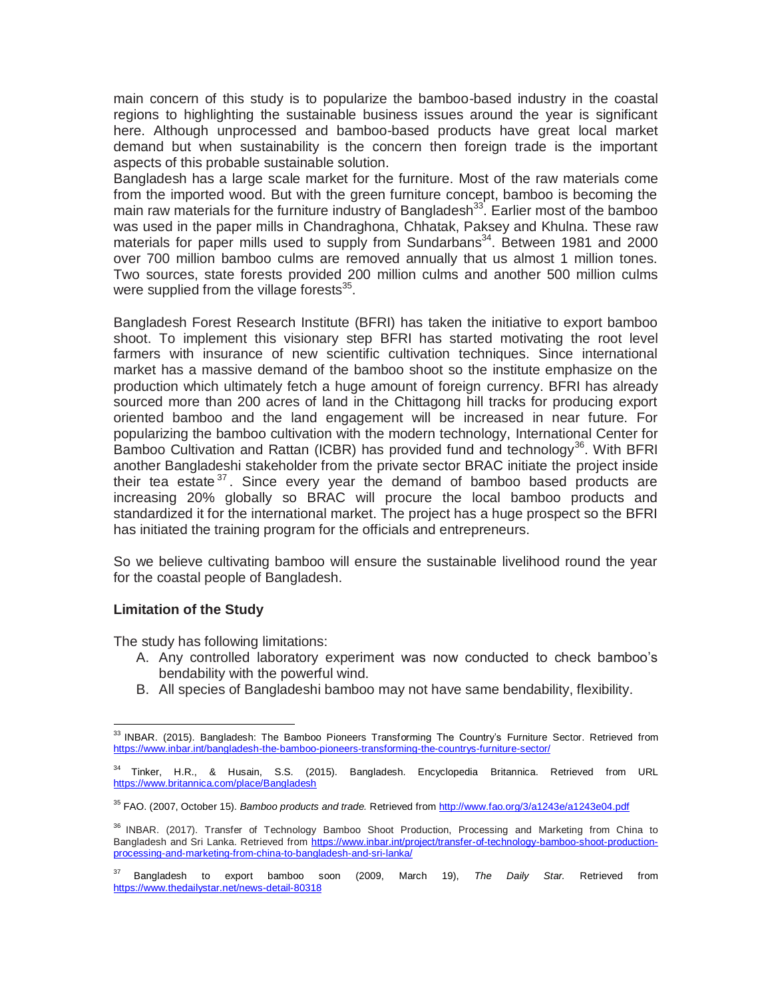main concern of this study is to popularize the bamboo-based industry in the coastal regions to highlighting the sustainable business issues around the year is significant here. Although unprocessed and bamboo-based products have great local market demand but when sustainability is the concern then foreign trade is the important aspects of this probable sustainable solution.

Bangladesh has a large scale market for the furniture. Most of the raw materials come from the imported wood. But with the green furniture concept, bamboo is becoming the main raw materials for the furniture industry of Bangladesh<sup>33</sup>. Earlier most of the bamboo was used in the paper mills in Chandraghona, Chhatak, Paksey and Khulna. These raw materials for paper mills used to supply from Sundarbans<sup>34</sup>. Between 1981 and 2000 over 700 million bamboo culms are removed annually that us almost 1 million tones. Two sources, state forests provided 200 million culms and another 500 million culms were supplied from the village forests $^{35}$ .

Bangladesh Forest Research Institute (BFRI) has taken the initiative to export bamboo shoot. To implement this visionary step BFRI has started motivating the root level farmers with insurance of new scientific cultivation techniques. Since international market has a massive demand of the bamboo shoot so the institute emphasize on the production which ultimately fetch a huge amount of foreign currency. BFRI has already sourced more than 200 acres of land in the Chittagong hill tracks for producing export oriented bamboo and the land engagement will be increased in near future. For popularizing the bamboo cultivation with the modern technology, International Center for Bamboo Cultivation and Rattan (ICBR) has provided fund and technology<sup>36</sup>. With BFRI another Bangladeshi stakeholder from the private sector BRAC initiate the project inside their tea estate  $37$ . Since every year the demand of bamboo based products are increasing 20% globally so BRAC will procure the local bamboo products and standardized it for the international market. The project has a huge prospect so the BFRI has initiated the training program for the officials and entrepreneurs.

So we believe cultivating bamboo will ensure the sustainable livelihood round the year for the coastal people of Bangladesh.

### **Limitation of the Study**

 $\overline{\phantom{a}}$ 

The study has following limitations:

- A. Any controlled laboratory experiment was now conducted to check bamboo's bendability with the powerful wind.
- B. All species of Bangladeshi bamboo may not have same bendability, flexibility.

<sup>&</sup>lt;sup>33</sup> INBAR. (2015). Bangladesh: The Bamboo Pioneers Transforming The Country's Furniture Sector. Retrieved from <https://www.inbar.int/bangladesh-the-bamboo-pioneers-transforming-the-countrys-furniture-sector/>

<sup>&</sup>lt;sup>34</sup> Tinker, H.R., & Husain, S.S. (2015). Bangladesh. Encyclopedia Britannica. Retrieved from URL <https://www.britannica.com/place/Bangladesh>

<sup>35</sup> FAO. (2007, October 15). *Bamboo products and trade.* Retrieved fro[m http://www.fao.org/3/a1243e/a1243e04.pdf](http://www.fao.org/3/a1243e/a1243e04.pdf)

<sup>&</sup>lt;sup>36</sup> INBAR. (2017). Transfer of Technology Bamboo Shoot Production, Processing and Marketing from China to Bangladesh and Sri Lanka. Retrieved from [https://www.inbar.int/project/transfer-of-technology-bamboo-shoot-production](https://www.inbar.int/project/transfer-of-technology-bamboo-shoot-production-processing-and-marketing-from-china-to-bangladesh-and-sri-lanka/)[processing-and-marketing-from-china-to-bangladesh-and-sri-lanka/](https://www.inbar.int/project/transfer-of-technology-bamboo-shoot-production-processing-and-marketing-from-china-to-bangladesh-and-sri-lanka/)

<sup>37</sup> Bangladesh to export bamboo soon (2009, March 19), *The Daily Star.* Retrieved from <https://www.thedailystar.net/news-detail-80318>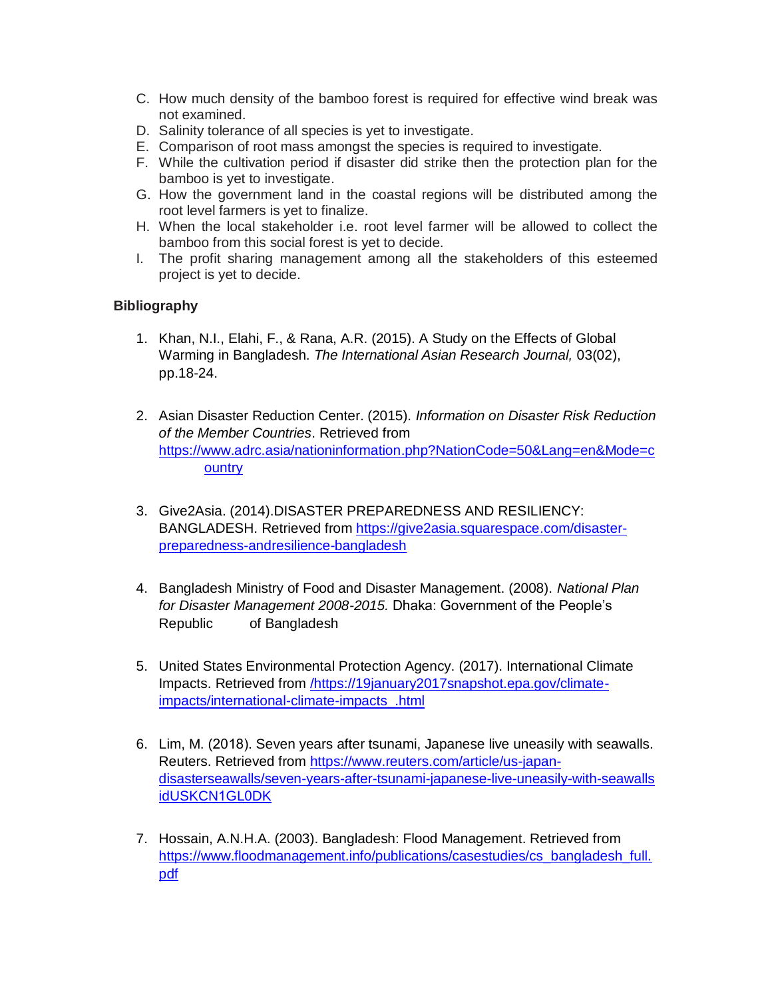- C. How much density of the bamboo forest is required for effective wind break was not examined.
- D. Salinity tolerance of all species is yet to investigate.
- E. Comparison of root mass amongst the species is required to investigate.
- F. While the cultivation period if disaster did strike then the protection plan for the bamboo is yet to investigate.
- G. How the government land in the coastal regions will be distributed among the root level farmers is yet to finalize.
- H. When the local stakeholder i.e. root level farmer will be allowed to collect the bamboo from this social forest is yet to decide.
- I. The profit sharing management among all the stakeholders of this esteemed project is yet to decide.

## **Bibliography**

- 1. Khan, N.I., Elahi, F., & Rana, A.R. (2015). A Study on the Effects of Global Warming in Bangladesh. *The International Asian Research Journal,* 03(02), pp.18-24.
- 2. Asian Disaster Reduction Center. (2015). *Information on Disaster Risk Reduction of the Member Countries*. Retrieved from [https://www.adrc.asia/nationinformation.php?NationCode=50&Lang=en&Mode=c](https://www.adrc.asia/nationinformation.php?NationCode=50&Lang=en&Mode=c%09ountry) **[ountry](https://www.adrc.asia/nationinformation.php?NationCode=50&Lang=en&Mode=c%09ountry)**
- 3. Give2Asia. (2014).DISASTER PREPAREDNESS AND RESILIENCY: BANGLADESH. Retrieved from [https://give2asia.squarespace.com/disaster](https://give2asia.squarespace.com/disaster-preparedness-andresilience-bangladesh)[preparedness-andresilience-bangladesh](https://give2asia.squarespace.com/disaster-preparedness-andresilience-bangladesh)
- 4. Bangladesh Ministry of Food and Disaster Management. (2008). *National Plan for Disaster Management 2008-2015.* Dhaka: Government of the People's Republic of Bangladesh
- 5. United States Environmental Protection Agency. (2017). International Climate Impacts. Retrieved from [/https://19january2017snapshot.epa.gov/climate](https://19january2017snapshot.epa.gov/climate-impacts/international-climate-impacts_.html)[impacts/international-climate-impacts\\_.html](https://19january2017snapshot.epa.gov/climate-impacts/international-climate-impacts_.html)
- 6. Lim, M. (2018). Seven years after tsunami, Japanese live uneasily with seawalls. Reuters. Retrieved from [https://www.reuters.com/article/us-japan](https://www.reuters.com/article/us-japan-disasterseawalls/seven-years-after-tsunami-japanese-live-uneasily-with-seawalls%20idUSKCN1GL0DK)[disasterseawalls/seven-years-after-tsunami-japanese-live-uneasily-with-seawalls](https://www.reuters.com/article/us-japan-disasterseawalls/seven-years-after-tsunami-japanese-live-uneasily-with-seawalls%20idUSKCN1GL0DK)  [idUSKCN1GL0DK](https://www.reuters.com/article/us-japan-disasterseawalls/seven-years-after-tsunami-japanese-live-uneasily-with-seawalls%20idUSKCN1GL0DK)
- 7. Hossain, A.N.H.A. (2003). Bangladesh: Flood Management. Retrieved from [https://www.floodmanagement.info/publications/casestudies/cs\\_bangladesh\\_full.](https://www.floodmanagement.info/publications/casestudies/cs_bangladesh_full.pdf) [pdf](https://www.floodmanagement.info/publications/casestudies/cs_bangladesh_full.pdf)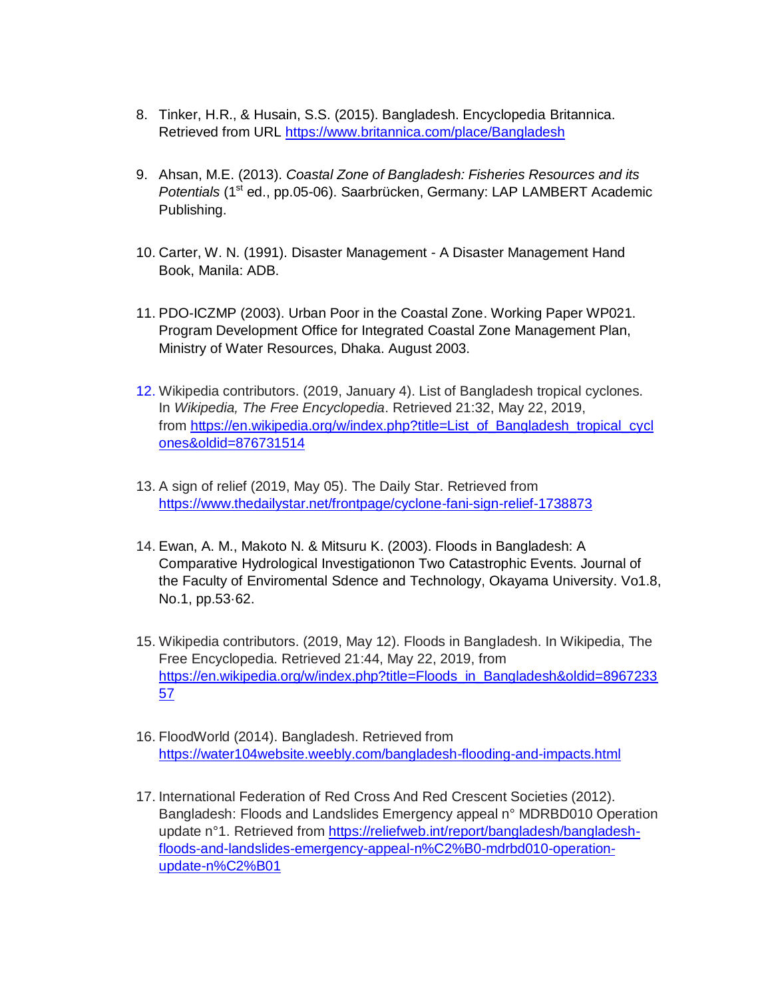- 8. Tinker, H.R., & Husain, S.S. (2015). Bangladesh. Encyclopedia Britannica. Retrieved from URL<https://www.britannica.com/place/Bangladesh>
- 9. Ahsan, M.E. (2013). *Coastal Zone of Bangladesh: Fisheries Resources and its Potentials* (1<sup>st</sup> ed., pp.05-06). Saarbrücken, Germany: LAP LAMBERT Academic Publishing.
- 10. Carter, W. N. (1991). Disaster Management A Disaster Management Hand Book, Manila: ADB.
- 11. PDO-ICZMP (2003). Urban Poor in the Coastal Zone. Working Paper WP021. Program Development Office for Integrated Coastal Zone Management Plan, Ministry of Water Resources, Dhaka. August 2003.
- 12. Wikipedia contributors. (2019, January 4). List of Bangladesh tropical cyclones. In *Wikipedia, The Free Encyclopedia*. Retrieved 21:32, May 22, 2019, from [https://en.wikipedia.org/w/index.php?title=List\\_of\\_Bangladesh\\_tropical\\_cycl](https://en.wikipedia.org/w/index.php?title=List_of_Bangladesh_tropical_cyclones&oldid=876731514) [ones&oldid=876731514](https://en.wikipedia.org/w/index.php?title=List_of_Bangladesh_tropical_cyclones&oldid=876731514)
- 13. A sign of relief (2019, May 05). The Daily Star. Retrieved from <https://www.thedailystar.net/frontpage/cyclone-fani-sign-relief-1738873>
- 14. Ewan, A. M., Makoto N. & Mitsuru K. (2003). Floods in Bangladesh: A Comparative Hydrological Investigationon Two Catastrophic Events. Journal of the Faculty of Enviromental Sdence and Technology, Okayama University. Vo1.8, No.1, pp.53·62.
- 15. Wikipedia contributors. (2019, May 12). Floods in Bangladesh. In Wikipedia, The Free Encyclopedia. Retrieved 21:44, May 22, 2019, from [https://en.wikipedia.org/w/index.php?title=Floods\\_in\\_Bangladesh&oldid=8967233](https://en.wikipedia.org/w/index.php?title=Floods_in_Bangladesh&oldid=896723357) [57](https://en.wikipedia.org/w/index.php?title=Floods_in_Bangladesh&oldid=896723357)
- 16. FloodWorld (2014). Bangladesh. Retrieved from <https://water104website.weebly.com/bangladesh-flooding-and-impacts.html>
- 17. International Federation of Red Cross And Red Crescent Societies (2012). Bangladesh: Floods and Landslides Emergency appeal n° MDRBD010 Operation update n°1. Retrieved from [https://reliefweb.int/report/bangladesh/bangladesh](https://reliefweb.int/report/bangladesh/bangladesh-floods-and-landslides-emergency-appeal-n%C2%B0-mdrbd010-operation-update-n%C2%B01)[floods-and-landslides-emergency-appeal-n%C2%B0-mdrbd010-operation](https://reliefweb.int/report/bangladesh/bangladesh-floods-and-landslides-emergency-appeal-n%C2%B0-mdrbd010-operation-update-n%C2%B01)[update-n%C2%B01](https://reliefweb.int/report/bangladesh/bangladesh-floods-and-landslides-emergency-appeal-n%C2%B0-mdrbd010-operation-update-n%C2%B01)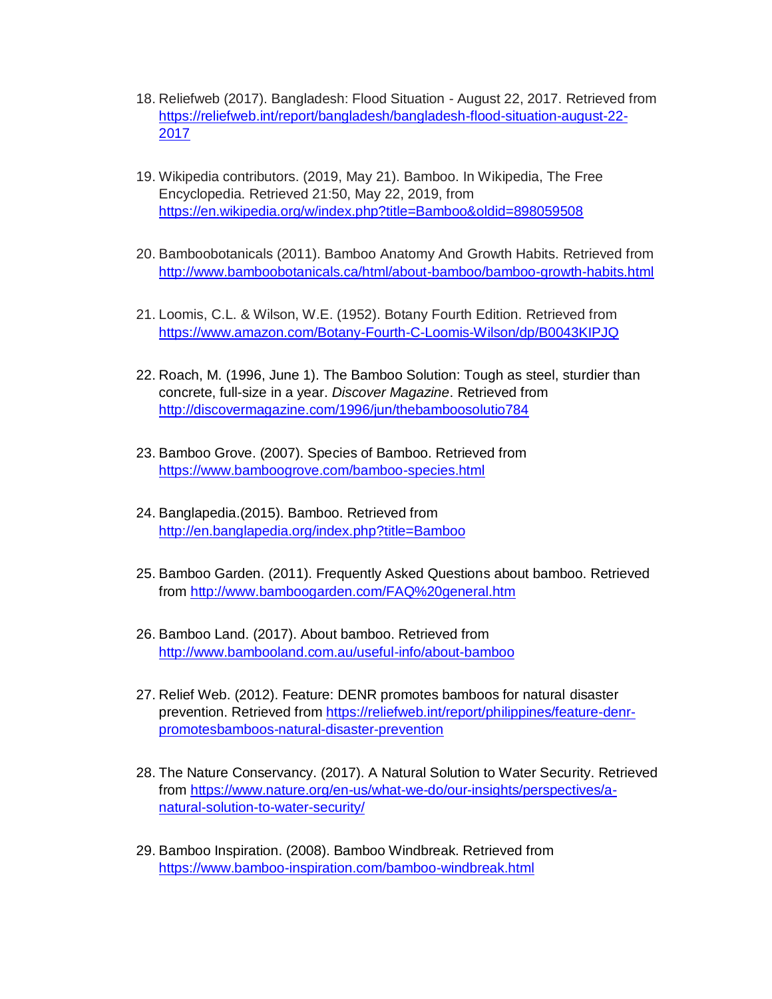- 18. Reliefweb (2017). Bangladesh: Flood Situation August 22, 2017. Retrieved from [https://reliefweb.int/report/bangladesh/bangladesh-flood-situation-august-22-](https://reliefweb.int/report/bangladesh/bangladesh-flood-situation-august-22-2017) [2017](https://reliefweb.int/report/bangladesh/bangladesh-flood-situation-august-22-2017)
- 19. Wikipedia contributors. (2019, May 21). Bamboo. In Wikipedia, The Free Encyclopedia. Retrieved 21:50, May 22, 2019, from <https://en.wikipedia.org/w/index.php?title=Bamboo&oldid=898059508>
- 20. Bamboobotanicals (2011). Bamboo Anatomy And Growth Habits. Retrieved from <http://www.bamboobotanicals.ca/html/about-bamboo/bamboo-growth-habits.html>
- 21. Loomis, C.L. & Wilson, W.E. (1952). Botany Fourth Edition. Retrieved from <https://www.amazon.com/Botany-Fourth-C-Loomis-Wilson/dp/B0043KIPJQ>
- 22. Roach, M. (1996, June 1). [The Bamboo Solution: Tough as steel, sturdier than](http://discovermagazine.com/1996/jun/thebamboosolutio784)  [concrete, full-size in a year.](http://discovermagazine.com/1996/jun/thebamboosolutio784) *Discover Magazine*. Retrieved from <http://discovermagazine.com/1996/jun/thebamboosolutio784>
- 23. Bamboo Grove. (2007). Species of Bamboo. Retrieved from <https://www.bamboogrove.com/bamboo-species.html>
- 24. Banglapedia.(2015). Bamboo. Retrieved from <http://en.banglapedia.org/index.php?title=Bamboo>
- 25. Bamboo Garden. (2011). Frequently Asked Questions about bamboo. Retrieved from<http://www.bamboogarden.com/FAQ%20general.htm>
- 26. Bamboo Land. (2017). About bamboo. Retrieved from <http://www.bambooland.com.au/useful-info/about-bamboo>
- 27. Relief Web. (2012). Feature: DENR promotes bamboos for natural disaster prevention. Retrieved from [https://reliefweb.int/report/philippines/feature-denr](https://reliefweb.int/report/philippines/feature-denr-promotesbamboos-natural-disaster-prevention)[promotesbamboos-natural-disaster-prevention](https://reliefweb.int/report/philippines/feature-denr-promotesbamboos-natural-disaster-prevention)
- 28. The Nature Conservancy. (2017). A Natural Solution to Water Security. Retrieved from [https://www.nature.org/en-us/what-we-do/our-insights/perspectives/a](https://www.nature.org/en-us/what-we-do/our-insights/perspectives/a-natural-solution-to-water-security/)[natural-solution-to-water-security/](https://www.nature.org/en-us/what-we-do/our-insights/perspectives/a-natural-solution-to-water-security/)
- 29. Bamboo Inspiration. (2008). Bamboo Windbreak. Retrieved from <https://www.bamboo-inspiration.com/bamboo-windbreak.html>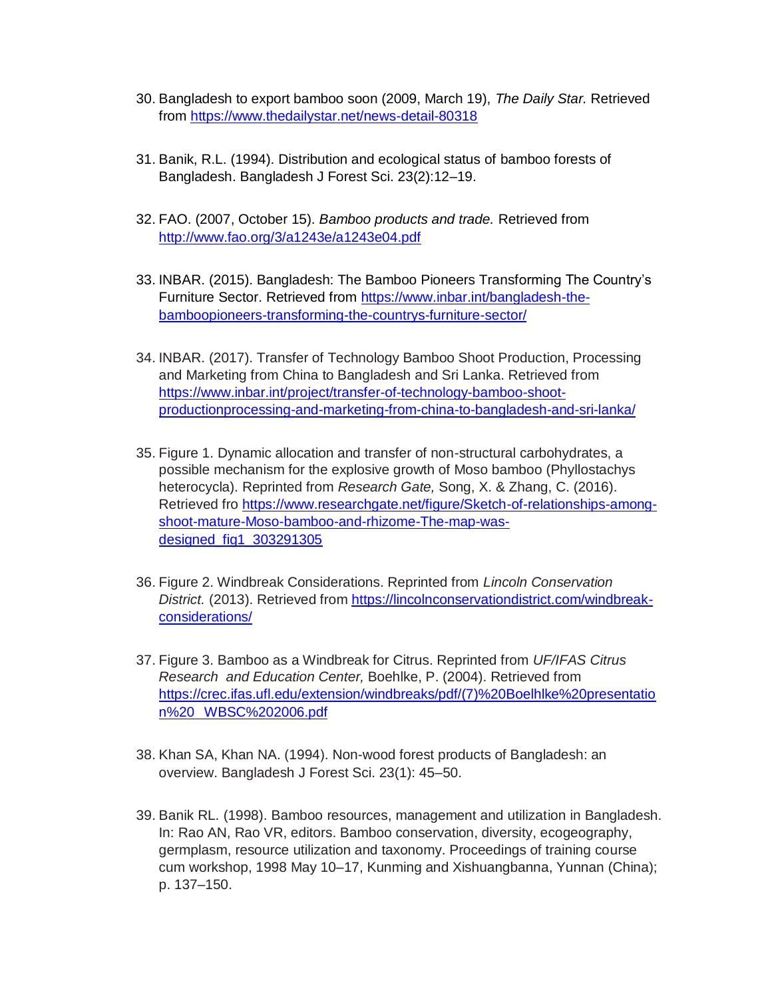- 30. Bangladesh to export bamboo soon (2009, March 19), *The Daily Star.* Retrieved from<https://www.thedailystar.net/news-detail-80318>
- 31. Banik, R.L. (1994). Distribution and ecological status of bamboo forests of Bangladesh. Bangladesh J Forest Sci. 23(2):12–19.
- 32. FAO. (2007, October 15). *Bamboo products and trade.* Retrieved from <http://www.fao.org/3/a1243e/a1243e04.pdf>
- 33. INBAR. (2015). Bangladesh: The Bamboo Pioneers Transforming The Country's Furniture Sector. Retrieved from [https://www.inbar.int/bangladesh-the](https://www.inbar.int/bangladesh-the-bamboopioneers-transforming-the-countrys-furniture-sector/)[bamboopioneers-transforming-the-countrys-furniture-sector/](https://www.inbar.int/bangladesh-the-bamboopioneers-transforming-the-countrys-furniture-sector/)
- 34. INBAR. (2017). Transfer of Technology Bamboo Shoot Production, Processing and Marketing from China to Bangladesh and Sri Lanka. Retrieved from [https://www.inbar.int/project/transfer-of-technology-bamboo-shoot](https://www.inbar.int/project/transfer-of-technology-bamboo-shoot-productionprocessing-and-marketing-from-china-to-bangladesh-and-sri-lanka/)[productionprocessing-and-marketing-from-china-to-bangladesh-and-sri-lanka/](https://www.inbar.int/project/transfer-of-technology-bamboo-shoot-productionprocessing-and-marketing-from-china-to-bangladesh-and-sri-lanka/)
- 35. Figure 1. Dynamic allocation and transfer of non-structural carbohydrates, a possible mechanism for the explosive growth of Moso bamboo (Phyllostachys heterocycla). Reprinted from *Research Gate,* Song, X. & Zhang, C. (2016). Retrieved fro [https://www.researchgate.net/figure/Sketch-of-relationships-among](https://www.researchgate.net/figure/Sketch-of-relationships-among-shoot-mature-Moso-bamboo-and-rhizome-The-map-was-designed_fig1_303291305)[shoot-mature-Moso-bamboo-and-rhizome-The-map-was](https://www.researchgate.net/figure/Sketch-of-relationships-among-shoot-mature-Moso-bamboo-and-rhizome-The-map-was-designed_fig1_303291305)[designed\\_fig1\\_303291305](https://www.researchgate.net/figure/Sketch-of-relationships-among-shoot-mature-Moso-bamboo-and-rhizome-The-map-was-designed_fig1_303291305)
- 36. Figure 2. Windbreak Considerations. Reprinted from *Lincoln Conservation District.* (2013). Retrieved from [https://lincolnconservationdistrict.com/windbreak](https://lincolnconservationdistrict.com/windbreak-considerations/)[considerations/](https://lincolnconservationdistrict.com/windbreak-considerations/)
- 37. Figure 3. Bamboo as a Windbreak for Citrus. Reprinted from *UF/IFAS Citrus Research and Education Center,* Boehlke, P. (2004). Retrieved from [https://crec.ifas.ufl.edu/extension/windbreaks/pdf/\(7\)%20Boelhlke%20presentatio](https://crec.ifas.ufl.edu/extension/windbreaks/pdf/(7)%20Boelhlke%20presentation%20WBSC%202006.pdf) n%20 [WBSC%202006.pdf](https://crec.ifas.ufl.edu/extension/windbreaks/pdf/(7)%20Boelhlke%20presentation%20WBSC%202006.pdf)
- 38. Khan SA, Khan NA. (1994). Non-wood forest products of Bangladesh: an overview. Bangladesh J Forest Sci. 23(1): 45–50.
- 39. Banik RL. (1998). Bamboo resources, management and utilization in Bangladesh. In: Rao AN, Rao VR, editors. Bamboo conservation, diversity, ecogeography, germplasm, resource utilization and taxonomy. Proceedings of training course cum workshop, 1998 May 10–17, Kunming and Xishuangbanna, Yunnan (China); p. 137–150.